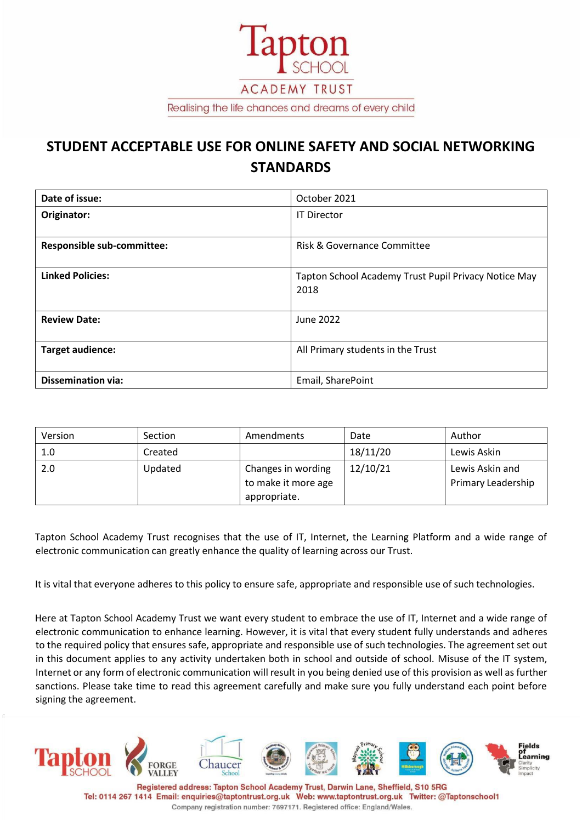

# **STUDENT ACCEPTABLE USE FOR ONLINE SAFETY AND SOCIAL NETWORKING STANDARDS**

| Date of issue:                    | October 2021                                                 |  |  |
|-----------------------------------|--------------------------------------------------------------|--|--|
| Originator:                       | <b>IT Director</b>                                           |  |  |
| <b>Responsible sub-committee:</b> | Risk & Governance Committee                                  |  |  |
| <b>Linked Policies:</b>           | Tapton School Academy Trust Pupil Privacy Notice May<br>2018 |  |  |
| <b>Review Date:</b>               | June 2022                                                    |  |  |
| Target audience:                  | All Primary students in the Trust                            |  |  |
| <b>Dissemination via:</b>         | Email, SharePoint                                            |  |  |

| Version | Section | Amendments          | Date     | Author             |
|---------|---------|---------------------|----------|--------------------|
| 1.0     | Created |                     | 18/11/20 | Lewis Askin        |
| 2.0     | Updated | Changes in wording  | 12/10/21 | Lewis Askin and    |
|         |         | to make it more age |          | Primary Leadership |
|         |         | appropriate.        |          |                    |

Tapton School Academy Trust recognises that the use of IT, Internet, the Learning Platform and a wide range of electronic communication can greatly enhance the quality of learning across our Trust.

It is vital that everyone adheres to this policy to ensure safe, appropriate and responsible use of such technologies.

Here at Tapton School Academy Trust we want every student to embrace the use of IT, Internet and a wide range of electronic communication to enhance learning. However, it is vital that every student fully understands and adheres to the required policy that ensures safe, appropriate and responsible use of such technologies. The agreement set out in this document applies to any activity undertaken both in school and outside of school. Misuse of the IT system, Internet or any form of electronic communication will result in you being denied use of this provision as well as further sanctions. Please take time to read this agreement carefully and make sure you fully understand each point before signing the agreement.



Registered address: Tapton School Academy Trust, Darwin Lane, Sheffield, S10 5RG Tel: 0114 267 1414 Email: enquiries@taptontrust.org.uk Web: www.taptontrust.org.uk Twitter: @Taptonschool1 Company registration number: 7697171. Registered office: England/Wales.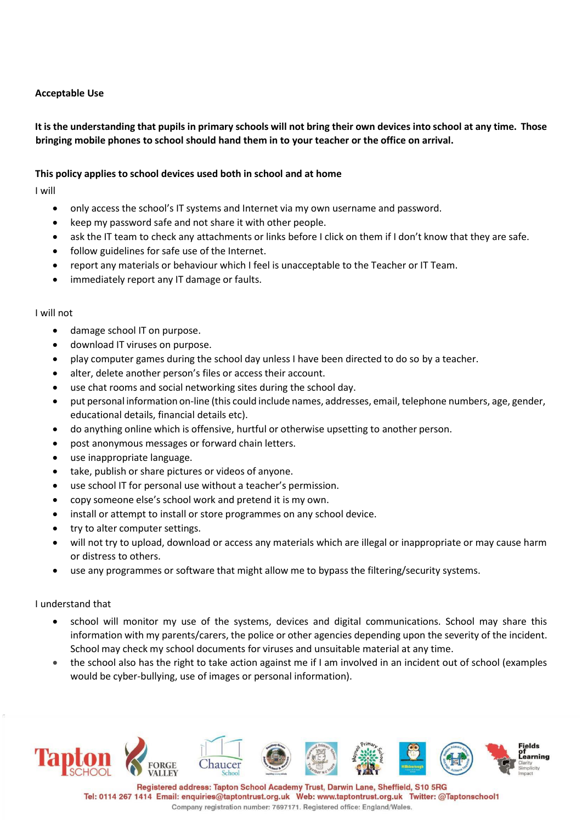## **Acceptable Use**

# It is the understanding that pupils in primary schools will not bring their own devices into school at any time. Those **bringing mobile phones to school should hand them in to your teacher or the office on arrival.**

### **This policy applies to school devices used both in school and at home**

I will

- only access the school's IT systems and Internet via my own username and password.
- keep my password safe and not share it with other people.
- ask the IT team to check any attachments or links before I click on them if I don't know that they are safe.
- follow guidelines for safe use of the Internet.
- report any materials or behaviour which I feel is unacceptable to the Teacher or IT Team.
- immediately report any IT damage or faults.

#### I will not

- damage school IT on purpose.
- download IT viruses on purpose.
- play computer games during the school day unless I have been directed to do so by a teacher.
- alter, delete another person's files or access their account.
- use chat rooms and social networking sites during the school day.
- put personal information on-line (this could include names, addresses, email, telephone numbers, age, gender, educational details, financial details etc).
- do anything online which is offensive, hurtful or otherwise upsetting to another person.
- post anonymous messages or forward chain letters.
- use inappropriate language.
- take, publish or share pictures or videos of anyone.
- use school IT for personal use without a teacher's permission.
- copy someone else's school work and pretend it is my own.
- install or attempt to install or store programmes on any school device.
- try to alter computer settings.
- will not try to upload, download or access any materials which are illegal or inappropriate or may cause harm or distress to others.
- use any programmes or software that might allow me to bypass the filtering/security systems.

#### I understand that

- school will monitor my use of the systems, devices and digital communications. School may share this information with my parents/carers, the police or other agencies depending upon the severity of the incident. School may check my school documents for viruses and unsuitable material at any time.
- the school also has the right to take action against me if I am involved in an incident out of school (examples would be cyber-bullying, use of images or personal information).



Registered address: Tapton School Academy Trust, Darwin Lane, Sheffield, S10 5RG Tel: 0114 267 1414 Email: enquiries@taptontrust.org.uk Web: www.taptontrust.org.uk Twitter: @Taptonschool1 Company registration number: 7697171. Registered office: England/Wales.